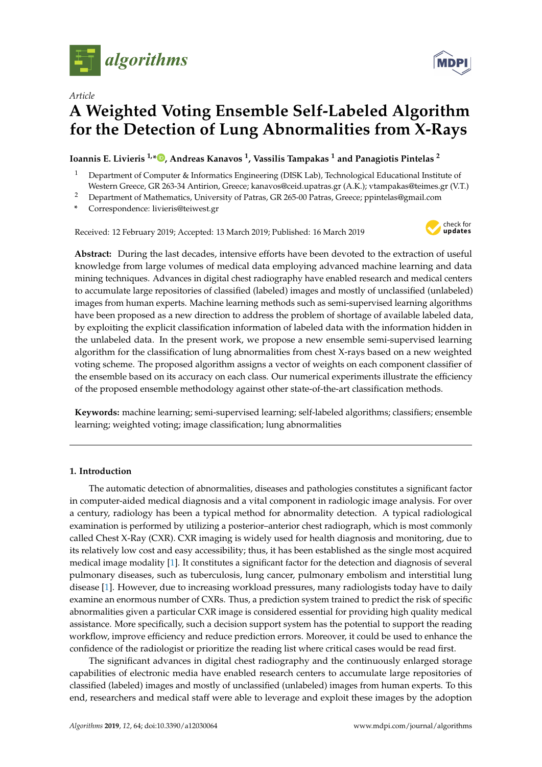

*Article*

# **A Weighted Voting Ensemble Self-Labeled Algorithm for the Detection of Lung Abnormalities from X-Rays**

## **Ioannis E. Livieris 1,[\\*](https://orcid.org/0000-0002-3996-3301) , Andreas Kanavos <sup>1</sup> , Vassilis Tampakas <sup>1</sup> and Panagiotis Pintelas <sup>2</sup>**

- <sup>1</sup> Department of Computer & Informatics Engineering (DISK Lab), Technological Educational Institute of Western Greece, GR 263-34 Antirion, Greece; kanavos@ceid.upatras.gr (A.K.); vtampakas@teimes.gr (V.T.)
- <sup>2</sup> Department of Mathematics, University of Patras, GR 265-00 Patras, Greece; ppintelas@gmail.com
- **\*** Correspondence: livieris@teiwest.gr

Received: 12 February 2019; Accepted: 13 March 2019; Published: 16 March 2019



**Abstract:** During the last decades, intensive efforts have been devoted to the extraction of useful knowledge from large volumes of medical data employing advanced machine learning and data mining techniques. Advances in digital chest radiography have enabled research and medical centers to accumulate large repositories of classified (labeled) images and mostly of unclassified (unlabeled) images from human experts. Machine learning methods such as semi-supervised learning algorithms have been proposed as a new direction to address the problem of shortage of available labeled data, by exploiting the explicit classification information of labeled data with the information hidden in the unlabeled data. In the present work, we propose a new ensemble semi-supervised learning algorithm for the classification of lung abnormalities from chest X-rays based on a new weighted voting scheme. The proposed algorithm assigns a vector of weights on each component classifier of the ensemble based on its accuracy on each class. Our numerical experiments illustrate the efficiency of the proposed ensemble methodology against other state-of-the-art classification methods.

**Keywords:** machine learning; semi-supervised learning; self-labeled algorithms; classifiers; ensemble learning; weighted voting; image classification; lung abnormalities

## **1. Introduction**

The automatic detection of abnormalities, diseases and pathologies constitutes a significant factor in computer-aided medical diagnosis and a vital component in radiologic image analysis. For over a century, radiology has been a typical method for abnormality detection. A typical radiological examination is performed by utilizing a posterior–anterior chest radiograph, which is most commonly called Chest X-Ray (CXR). CXR imaging is widely used for health diagnosis and monitoring, due to its relatively low cost and easy accessibility; thus, it has been established as the single most acquired medical image modality [\[1\]](#page-12-0). It constitutes a significant factor for the detection and diagnosis of several pulmonary diseases, such as tuberculosis, lung cancer, pulmonary embolism and interstitial lung disease [\[1\]](#page-12-0). However, due to increasing workload pressures, many radiologists today have to daily examine an enormous number of CXRs. Thus, a prediction system trained to predict the risk of specific abnormalities given a particular CXR image is considered essential for providing high quality medical assistance. More specifically, such a decision support system has the potential to support the reading workflow, improve efficiency and reduce prediction errors. Moreover, it could be used to enhance the confidence of the radiologist or prioritize the reading list where critical cases would be read first.

The significant advances in digital chest radiography and the continuously enlarged storage capabilities of electronic media have enabled research centers to accumulate large repositories of classified (labeled) images and mostly of unclassified (unlabeled) images from human experts. To this end, researchers and medical staff were able to leverage and exploit these images by the adoption

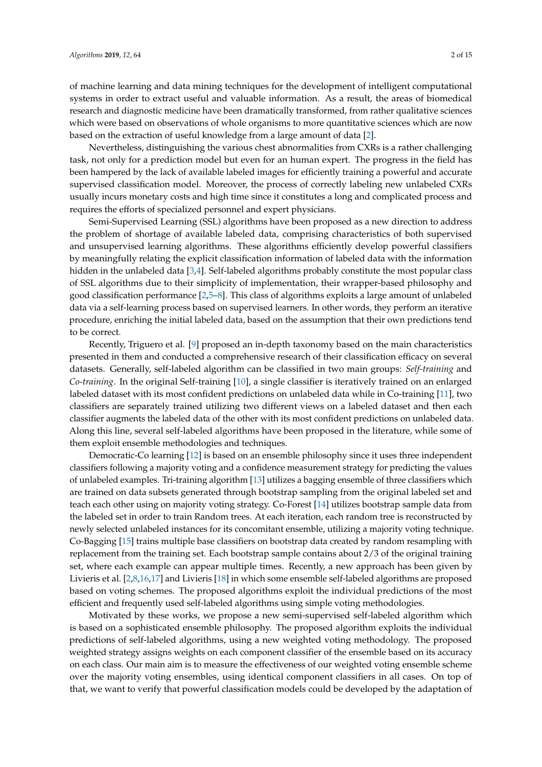of machine learning and data mining techniques for the development of intelligent computational systems in order to extract useful and valuable information. As a result, the areas of biomedical research and diagnostic medicine have been dramatically transformed, from rather qualitative sciences which were based on observations of whole organisms to more quantitative sciences which are now based on the extraction of useful knowledge from a large amount of data [\[2\]](#page-12-1).

Nevertheless, distinguishing the various chest abnormalities from CXRs is a rather challenging task, not only for a prediction model but even for an human expert. The progress in the field has been hampered by the lack of available labeled images for efficiently training a powerful and accurate supervised classification model. Moreover, the process of correctly labeling new unlabeled CXRs usually incurs monetary costs and high time since it constitutes a long and complicated process and requires the efforts of specialized personnel and expert physicians.

Semi-Supervised Learning (SSL) algorithms have been proposed as a new direction to address the problem of shortage of available labeled data, comprising characteristics of both supervised and unsupervised learning algorithms. These algorithms efficiently develop powerful classifiers by meaningfully relating the explicit classification information of labeled data with the information hidden in the unlabeled data [\[3](#page-12-2)[,4\]](#page-12-3). Self-labeled algorithms probably constitute the most popular class of SSL algorithms due to their simplicity of implementation, their wrapper-based philosophy and good classification performance [\[2,](#page-12-1)[5](#page-12-4)[–8\]](#page-12-5). This class of algorithms exploits a large amount of unlabeled data via a self-learning process based on supervised learners. In other words, they perform an iterative procedure, enriching the initial labeled data, based on the assumption that their own predictions tend to be correct.

Recently, Triguero et al. [\[9\]](#page-12-6) proposed an in-depth taxonomy based on the main characteristics presented in them and conducted a comprehensive research of their classification efficacy on several datasets. Generally, self-labeled algorithm can be classified in two main groups: *Self-training* and *Co-training*. In the original Self-training [\[10\]](#page-12-7), a single classifier is iteratively trained on an enlarged labeled dataset with its most confident predictions on unlabeled data while in Co-training [\[11\]](#page-12-8), two classifiers are separately trained utilizing two different views on a labeled dataset and then each classifier augments the labeled data of the other with its most confident predictions on unlabeled data. Along this line, several self-labeled algorithms have been proposed in the literature, while some of them exploit ensemble methodologies and techniques.

Democratic-Co learning [\[12\]](#page-12-9) is based on an ensemble philosophy since it uses three independent classifiers following a majority voting and a confidence measurement strategy for predicting the values of unlabeled examples. Tri-training algorithm [\[13\]](#page-13-0) utilizes a bagging ensemble of three classifiers which are trained on data subsets generated through bootstrap sampling from the original labeled set and teach each other using on majority voting strategy. Co-Forest [\[14\]](#page-13-1) utilizes bootstrap sample data from the labeled set in order to train Random trees. At each iteration, each random tree is reconstructed by newly selected unlabeled instances for its concomitant ensemble, utilizing a majority voting technique. Co-Bagging [\[15\]](#page-13-2) trains multiple base classifiers on bootstrap data created by random resampling with replacement from the training set. Each bootstrap sample contains about 2/3 of the original training set, where each example can appear multiple times. Recently, a new approach has been given by Livieris et al. [\[2](#page-12-1)[,8,](#page-12-5)[16,](#page-13-3)[17\]](#page-13-4) and Livieris [\[18\]](#page-13-5) in which some ensemble self-labeled algorithms are proposed based on voting schemes. The proposed algorithms exploit the individual predictions of the most efficient and frequently used self-labeled algorithms using simple voting methodologies.

Motivated by these works, we propose a new semi-supervised self-labeled algorithm which is based on a sophisticated ensemble philosophy. The proposed algorithm exploits the individual predictions of self-labeled algorithms, using a new weighted voting methodology. The proposed weighted strategy assigns weights on each component classifier of the ensemble based on its accuracy on each class. Our main aim is to measure the effectiveness of our weighted voting ensemble scheme over the majority voting ensembles, using identical component classifiers in all cases. On top of that, we want to verify that powerful classification models could be developed by the adaptation of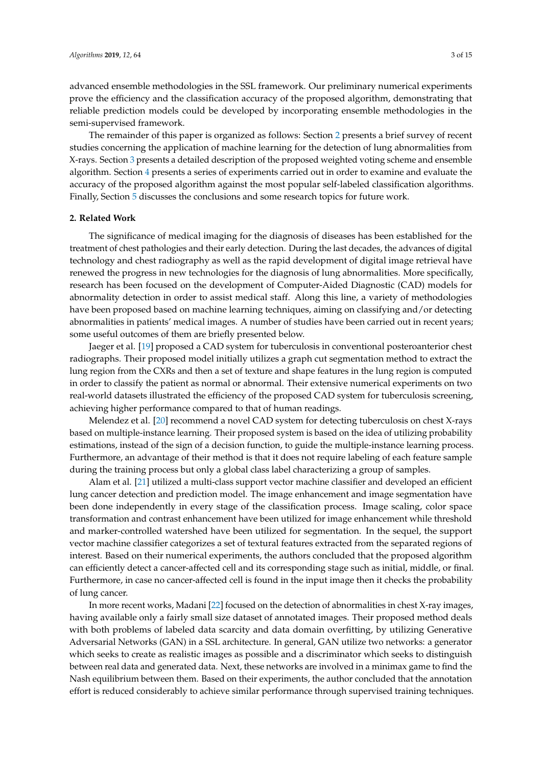advanced ensemble methodologies in the SSL framework. Our preliminary numerical experiments prove the efficiency and the classification accuracy of the proposed algorithm, demonstrating that reliable prediction models could be developed by incorporating ensemble methodologies in the semi-supervised framework.

The remainder of this paper is organized as follows: Section [2](#page-2-0) presents a brief survey of recent studies concerning the application of machine learning for the detection of lung abnormalities from X-rays. Section [3](#page-3-0) presents a detailed description of the proposed weighted voting scheme and ensemble algorithm. Section [4](#page-6-0) presents a series of experiments carried out in order to examine and evaluate the accuracy of the proposed algorithm against the most popular self-labeled classification algorithms. Finally, Section [5](#page-11-0) discusses the conclusions and some research topics for future work.

#### <span id="page-2-0"></span>**2. Related Work**

The significance of medical imaging for the diagnosis of diseases has been established for the treatment of chest pathologies and their early detection. During the last decades, the advances of digital technology and chest radiography as well as the rapid development of digital image retrieval have renewed the progress in new technologies for the diagnosis of lung abnormalities. More specifically, research has been focused on the development of Computer-Aided Diagnostic (CAD) models for abnormality detection in order to assist medical staff. Along this line, a variety of methodologies have been proposed based on machine learning techniques, aiming on classifying and/or detecting abnormalities in patients' medical images. A number of studies have been carried out in recent years; some useful outcomes of them are briefly presented below.

Jaeger et al. [\[19\]](#page-13-6) proposed a CAD system for tuberculosis in conventional posteroanterior chest radiographs. Their proposed model initially utilizes a graph cut segmentation method to extract the lung region from the CXRs and then a set of texture and shape features in the lung region is computed in order to classify the patient as normal or abnormal. Their extensive numerical experiments on two real-world datasets illustrated the efficiency of the proposed CAD system for tuberculosis screening, achieving higher performance compared to that of human readings.

Melendez et al. [\[20\]](#page-13-7) recommend a novel CAD system for detecting tuberculosis on chest X-rays based on multiple-instance learning. Their proposed system is based on the idea of utilizing probability estimations, instead of the sign of a decision function, to guide the multiple-instance learning process. Furthermore, an advantage of their method is that it does not require labeling of each feature sample during the training process but only a global class label characterizing a group of samples.

Alam et al. [\[21\]](#page-13-8) utilized a multi-class support vector machine classifier and developed an efficient lung cancer detection and prediction model. The image enhancement and image segmentation have been done independently in every stage of the classification process. Image scaling, color space transformation and contrast enhancement have been utilized for image enhancement while threshold and marker-controlled watershed have been utilized for segmentation. In the sequel, the support vector machine classifier categorizes a set of textural features extracted from the separated regions of interest. Based on their numerical experiments, the authors concluded that the proposed algorithm can efficiently detect a cancer-affected cell and its corresponding stage such as initial, middle, or final. Furthermore, in case no cancer-affected cell is found in the input image then it checks the probability of lung cancer.

In more recent works, Madani [\[22\]](#page-13-9) focused on the detection of abnormalities in chest X-ray images, having available only a fairly small size dataset of annotated images. Their proposed method deals with both problems of labeled data scarcity and data domain overfitting, by utilizing Generative Adversarial Networks (GAN) in a SSL architecture. In general, GAN utilize two networks: a generator which seeks to create as realistic images as possible and a discriminator which seeks to distinguish between real data and generated data. Next, these networks are involved in a minimax game to find the Nash equilibrium between them. Based on their experiments, the author concluded that the annotation effort is reduced considerably to achieve similar performance through supervised training techniques.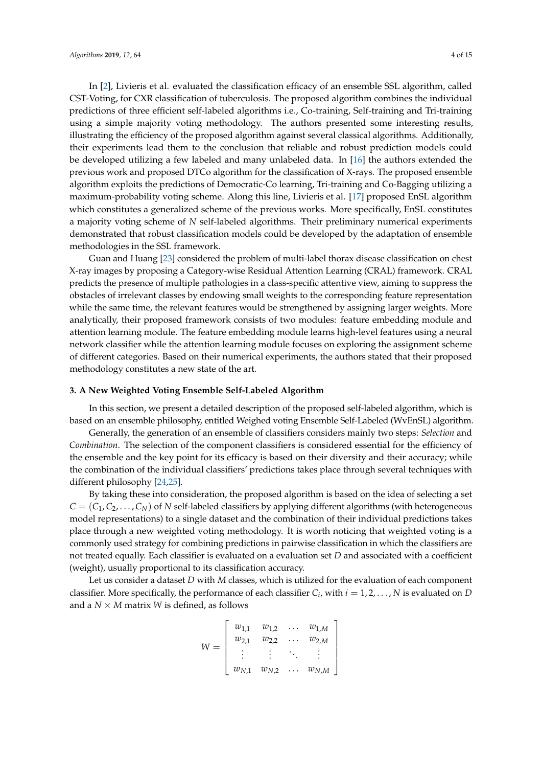In [\[2\]](#page-12-1), Livieris et al. evaluated the classification efficacy of an ensemble SSL algorithm, called CST-Voting, for CXR classification of tuberculosis. The proposed algorithm combines the individual predictions of three efficient self-labeled algorithms i.e., Co-training, Self-training and Tri-training using a simple majority voting methodology. The authors presented some interesting results, illustrating the efficiency of the proposed algorithm against several classical algorithms. Additionally, their experiments lead them to the conclusion that reliable and robust prediction models could be developed utilizing a few labeled and many unlabeled data. In [\[16\]](#page-13-3) the authors extended the previous work and proposed DTCo algorithm for the classification of X-rays. The proposed ensemble algorithm exploits the predictions of Democratic-Co learning, Tri-training and Co-Bagging utilizing a maximum-probability voting scheme. Along this line, Livieris et al. [\[17\]](#page-13-4) proposed EnSL algorithm which constitutes a generalized scheme of the previous works. More specifically, EnSL constitutes a majority voting scheme of *N* self-labeled algorithms. Their preliminary numerical experiments demonstrated that robust classification models could be developed by the adaptation of ensemble methodologies in the SSL framework.

Guan and Huang [\[23\]](#page-13-10) considered the problem of multi-label thorax disease classification on chest X-ray images by proposing a Category-wise Residual Attention Learning (CRAL) framework. CRAL predicts the presence of multiple pathologies in a class-specific attentive view, aiming to suppress the obstacles of irrelevant classes by endowing small weights to the corresponding feature representation while the same time, the relevant features would be strengthened by assigning larger weights. More analytically, their proposed framework consists of two modules: feature embedding module and attention learning module. The feature embedding module learns high-level features using a neural network classifier while the attention learning module focuses on exploring the assignment scheme of different categories. Based on their numerical experiments, the authors stated that their proposed methodology constitutes a new state of the art.

#### <span id="page-3-0"></span>**3. A New Weighted Voting Ensemble Self-Labeled Algorithm**

In this section, we present a detailed description of the proposed self-labeled algorithm, which is based on an ensemble philosophy, entitled Weighed voting Ensemble Self-Labeled (WvEnSL) algorithm.

Generally, the generation of an ensemble of classifiers considers mainly two steps: *Selection* and *Combination*. The selection of the component classifiers is considered essential for the efficiency of the ensemble and the key point for its efficacy is based on their diversity and their accuracy; while the combination of the individual classifiers' predictions takes place through several techniques with different philosophy [\[24,](#page-13-11)[25\]](#page-13-12).

By taking these into consideration, the proposed algorithm is based on the idea of selecting a set  $C = (C_1, C_2, \ldots, C_N)$  of *N* self-labeled classifiers by applying different algorithms (with heterogeneous model representations) to a single dataset and the combination of their individual predictions takes place through a new weighted voting methodology. It is worth noticing that weighted voting is a commonly used strategy for combining predictions in pairwise classification in which the classifiers are not treated equally. Each classifier is evaluated on a evaluation set *D* and associated with a coefficient (weight), usually proportional to its classification accuracy.

Let us consider a dataset *D* with *M* classes, which is utilized for the evaluation of each component classifier. More specifically, the performance of each classifier  $C_i$ , with  $i = 1, 2, ..., N$  is evaluated on *D* and a  $N \times M$  matrix *W* is defined, as follows

$$
W = \left[ \begin{array}{cccc} w_{1,1} & w_{1,2} & \dots & w_{1,M} \\ w_{2,1} & w_{2,2} & \dots & w_{2,M} \\ \vdots & \vdots & \ddots & \vdots \\ w_{N,1} & w_{N,2} & \dots & w_{N,M} \end{array} \right]
$$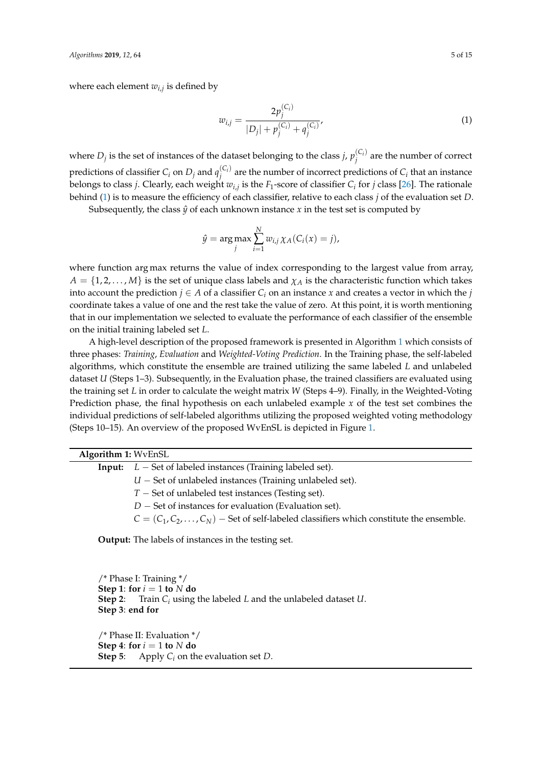where each element  $w_{i,j}$  is defined by

<span id="page-4-0"></span>
$$
w_{i,j} = \frac{2p_j^{(C_i)}}{|D_j| + p_j^{(C_i)} + q_j^{(C_i)}},\tag{1}
$$

where  $D_j$  is the set of instances of the dataset belonging to the class *j*,  $p_j^{(C_i)}$  $j^{(C_i)}$  are the number of correct predictions of classifier  $C_i$  on  $D_j$  and  $q_i^{(C_i)}$  $j^{(c_i)}$  are the number of incorrect predictions of  $C_i$  that an instance belongs to class *j*. Clearly, each weight *wi*,*<sup>j</sup>* is the *F*1-score of classifier *C<sup>i</sup>* for *j* class [\[26\]](#page-13-13). The rationale behind [\(1\)](#page-4-0) is to measure the efficiency of each classifier, relative to each class *j* of the evaluation set *D*.

Subsequently, the class  $\hat{y}$  of each unknown instance  $x$  in the test set is computed by

$$
\hat{y} = \arg \max_{j} \sum_{i=1}^{N} w_{i,j} \chi_A(C_i(x) = j),
$$

where function arg max returns the value of index corresponding to the largest value from array,  $A = \{1, 2, \ldots, M\}$  is the set of unique class labels and  $\chi_A$  is the characteristic function which takes into account the prediction *j* ∈ *A* of a classifier *C<sup>i</sup>* on an instance *x* and creates a vector in which the *j* coordinate takes a value of one and the rest take the value of zero. At this point, it is worth mentioning that in our implementation we selected to evaluate the performance of each classifier of the ensemble on the initial training labeled set *L*.

A high-level description of the proposed framework is presented in Algorithm [1](#page-4-1) which consists of three phases: *Training*, *Evaluation* and *Weighted-Voting Prediction*. In the Training phase, the self-labeled algorithms, which constitute the ensemble are trained utilizing the same labeled *L* and unlabeled dataset *U* (Steps 1–3). Subsequently, in the Evaluation phase, the trained classifiers are evaluated using the training set *L* in order to calculate the weight matrix *W* (Steps 4–9). Finally, in the Weighted-Voting Prediction phase, the final hypothesis on each unlabeled example *x* of the test set combines the individual predictions of self-labeled algorithms utilizing the proposed weighted voting methodology (Steps 10–15). An overview of the proposed WvEnSL is depicted in Figure [1.](#page-5-0)

<span id="page-4-1"></span>

| <b>Algorithm 1: WyEnSL</b> |                                                                                               |  |  |  |  |  |  |  |  |
|----------------------------|-----------------------------------------------------------------------------------------------|--|--|--|--|--|--|--|--|
|                            | <b>Input:</b> $L - Set$ of labeled instances (Training labeled set).                          |  |  |  |  |  |  |  |  |
|                            | $U$ – Set of unlabeled instances (Training unlabeled set).                                    |  |  |  |  |  |  |  |  |
|                            | $T$ – Set of unlabeled test instances (Testing set).                                          |  |  |  |  |  |  |  |  |
|                            | $D$ – Set of instances for evaluation (Evaluation set).                                       |  |  |  |  |  |  |  |  |
|                            | $C = (C_1, C_2, \dots, C_N)$ – Set of self-labeled classifiers which constitute the ensemble. |  |  |  |  |  |  |  |  |
|                            |                                                                                               |  |  |  |  |  |  |  |  |

**Output:** The labels of instances in the testing set.

/\* Phase I: Training \*/ **Step 1:** for  $i = 1$  to  $N$  do **Step 2**: Train *C<sup>i</sup>* using the labeled *L* and the unlabeled dataset *U*. **Step 3**: **end for** /\* Phase II: Evaluation \*/ **Step 4: for**  $i = 1$  **to**  $N$  **do Step 5**: Apply *C<sup>i</sup>* on the evaluation set *D*.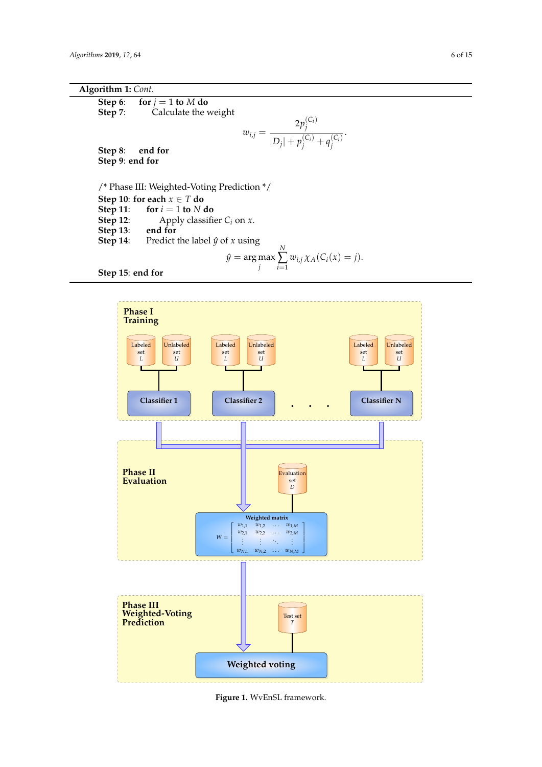**Step 6: for**  $\overline{j} = 1$  **to**  $\overline{M}$  **do Step 7**: Calculate the weight  $w_{i,j} =$  $2p_i^{(C_i)}$ *j*  $|D_j| + p_j^{(C_i)} + q_j^{(C_i)}$ *j* . **Step 8**: **end for Step 9**: **end for** /\* Phase III: Weighted-Voting Prediction \*/ **Step 10: for each**  $x \in T$  **do Step 11: for**  $i = 1$  **to**  $N$  **do**<br>**Step 12: Apply classifi-**Apply classifier  $C_i$  on  $x$ .<br>end for **Step 13:**<br>**Step 14:** Predict the label  $\hat{y}$  of *x* using  $\hat{y} = \arg \max$ *j N* ∑ *i*=1  $w_{i,j} \chi_A(C_i(x) = j).$ **Step 15**: **end for**

<span id="page-5-0"></span>

**Figure 1.** WvEnSL framework.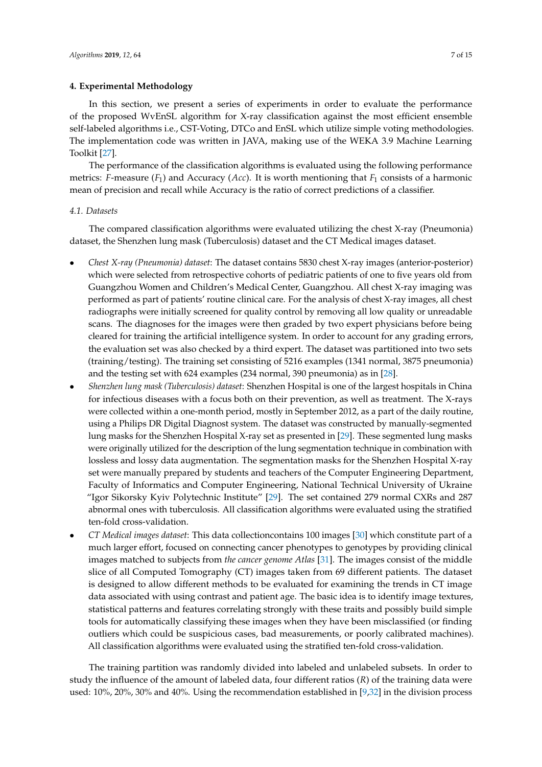#### <span id="page-6-0"></span>**4. Experimental Methodology**

In this section, we present a series of experiments in order to evaluate the performance of the proposed WvEnSL algorithm for X-ray classification against the most efficient ensemble self-labeled algorithms i.e., CST-Voting, DTCo and EnSL which utilize simple voting methodologies. The implementation code was written in JAVA, making use of the WEKA 3.9 Machine Learning Toolkit [\[27\]](#page-13-14).

The performance of the classification algorithms is evaluated using the following performance metrics: *F*-measure (*F*1) and Accuracy (*Acc*). It is worth mentioning that *F*<sup>1</sup> consists of a harmonic mean of precision and recall while Accuracy is the ratio of correct predictions of a classifier.

#### *4.1. Datasets*

The compared classification algorithms were evaluated utilizing the chest X-ray (Pneumonia) dataset, the Shenzhen lung mask (Tuberculosis) dataset and the CT Medical images dataset.

- *Chest X-ray (Pneumonia) dataset*: The dataset contains 5830 chest X-ray images (anterior-posterior) which were selected from retrospective cohorts of pediatric patients of one to five years old from Guangzhou Women and Children's Medical Center, Guangzhou. All chest X-ray imaging was performed as part of patients' routine clinical care. For the analysis of chest X-ray images, all chest radiographs were initially screened for quality control by removing all low quality or unreadable scans. The diagnoses for the images were then graded by two expert physicians before being cleared for training the artificial intelligence system. In order to account for any grading errors, the evaluation set was also checked by a third expert. The dataset was partitioned into two sets (training/testing). The training set consisting of 5216 examples (1341 normal, 3875 pneumonia) and the testing set with 624 examples (234 normal, 390 pneumonia) as in [\[28\]](#page-13-15).
- *Shenzhen lung mask (Tuberculosis) dataset*: Shenzhen Hospital is one of the largest hospitals in China for infectious diseases with a focus both on their prevention, as well as treatment. The X-rays were collected within a one-month period, mostly in September 2012, as a part of the daily routine, using a Philips DR Digital Diagnost system. The dataset was constructed by manually-segmented lung masks for the Shenzhen Hospital X-ray set as presented in [\[29\]](#page-13-16). These segmented lung masks were originally utilized for the description of the lung segmentation technique in combination with lossless and lossy data augmentation. The segmentation masks for the Shenzhen Hospital X-ray set were manually prepared by students and teachers of the Computer Engineering Department, Faculty of Informatics and Computer Engineering, National Technical University of Ukraine "Igor Sikorsky Kyiv Polytechnic Institute" [\[29\]](#page-13-16). The set contained 279 normal CXRs and 287 abnormal ones with tuberculosis. All classification algorithms were evaluated using the stratified ten-fold cross-validation.
- *CT Medical images dataset*: This data collectioncontains 100 images [\[30\]](#page-13-17) which constitute part of a much larger effort, focused on connecting cancer phenotypes to genotypes by providing clinical images matched to subjects from *the cancer genome Atlas* [\[31\]](#page-13-18). The images consist of the middle slice of all Computed Tomography (CT) images taken from 69 different patients. The dataset is designed to allow different methods to be evaluated for examining the trends in CT image data associated with using contrast and patient age. The basic idea is to identify image textures, statistical patterns and features correlating strongly with these traits and possibly build simple tools for automatically classifying these images when they have been misclassified (or finding outliers which could be suspicious cases, bad measurements, or poorly calibrated machines). All classification algorithms were evaluated using the stratified ten-fold cross-validation.

The training partition was randomly divided into labeled and unlabeled subsets. In order to study the influence of the amount of labeled data, four different ratios (*R*) of the training data were used: 10%, 20%, 30% and 40%. Using the recommendation established in [\[9](#page-12-6)[,32\]](#page-13-19) in the division process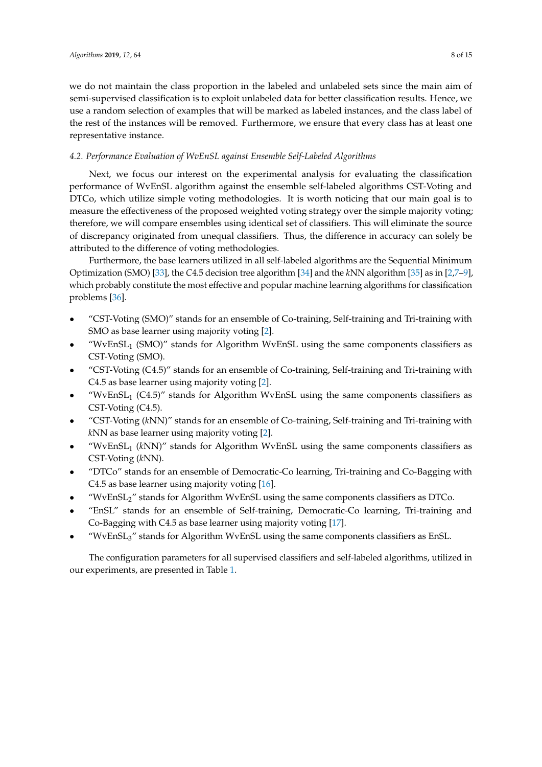we do not maintain the class proportion in the labeled and unlabeled sets since the main aim of semi-supervised classification is to exploit unlabeled data for better classification results. Hence, we use a random selection of examples that will be marked as labeled instances, and the class label of the rest of the instances will be removed. Furthermore, we ensure that every class has at least one representative instance.

#### *4.2. Performance Evaluation of WvEnSL against Ensemble Self-Labeled Algorithms*

Next, we focus our interest on the experimental analysis for evaluating the classification performance of WvEnSL algorithm against the ensemble self-labeled algorithms CST-Voting and DTCo, which utilize simple voting methodologies. It is worth noticing that our main goal is to measure the effectiveness of the proposed weighted voting strategy over the simple majority voting; therefore, we will compare ensembles using identical set of classifiers. This will eliminate the source of discrepancy originated from unequal classifiers. Thus, the difference in accuracy can solely be attributed to the difference of voting methodologies.

Furthermore, the base learners utilized in all self-labeled algorithms are the Sequential Minimum Optimization (SMO) [\[33\]](#page-13-20), the *C*4.5 decision tree algorithm [\[34\]](#page-13-21) and the *k*NN algorithm [\[35\]](#page-13-22) as in [\[2](#page-12-1)[,7](#page-12-10)[–9\]](#page-12-6), which probably constitute the most effective and popular machine learning algorithms for classification problems [\[36\]](#page-13-23).

- "CST-Voting (SMO)" stands for an ensemble of Co-training, Self-training and Tri-training with SMO as base learner using majority voting [\[2\]](#page-12-1).
- "WvEnSL<sub>1</sub> (SMO)" stands for Algorithm WvEnSL using the same components classifiers as CST-Voting (SMO).
- "CST-Voting (C4.5)" stands for an ensemble of Co-training, Self-training and Tri-training with C4.5 as base learner using majority voting [\[2\]](#page-12-1).
- "WvEnSL<sub>1</sub> (C4.5)" stands for Algorithm WvEnSL using the same components classifiers as CST-Voting (C4.5).
- "CST-Voting (*k*NN)" stands for an ensemble of Co-training, Self-training and Tri-training with *k*NN as base learner using majority voting [\[2\]](#page-12-1).
- "WvEnSL<sup>1</sup> (*k*NN)" stands for Algorithm WvEnSL using the same components classifiers as CST-Voting (*k*NN).
- "DTCo" stands for an ensemble of Democratic-Co learning, Tri-training and Co-Bagging with C4.5 as base learner using majority voting [\[16\]](#page-13-3).
- "WvEn $SL_2$ " stands for Algorithm WvEnSL using the same components classifiers as DTCo.
- "EnSL" stands for an ensemble of Self-training, Democratic-Co learning, Tri-training and Co-Bagging with C4.5 as base learner using majority voting [\[17\]](#page-13-4).
- "WvEnSL3" stands for Algorithm WvEnSL using the same components classifiers as EnSL.

The configuration parameters for all supervised classifiers and self-labeled algorithms, utilized in our experiments, are presented in Table [1.](#page-8-0)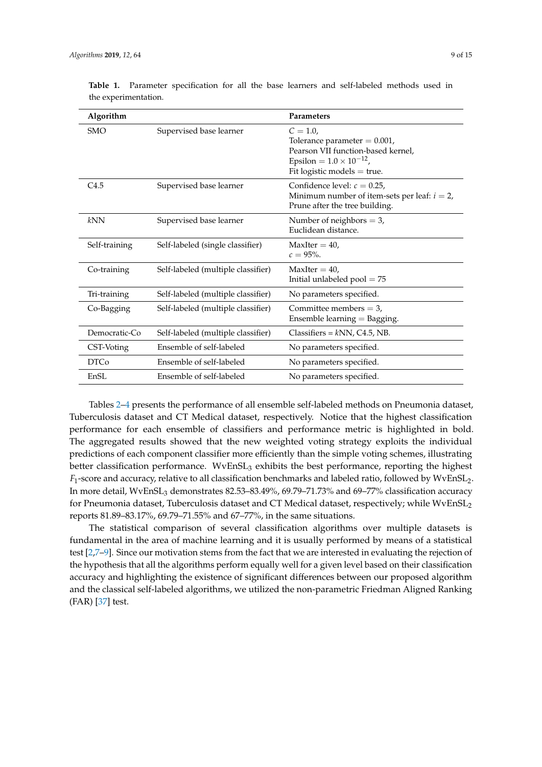| Algorithm        |                                    | <b>Parameters</b>                                                                                                                                          |
|------------------|------------------------------------|------------------------------------------------------------------------------------------------------------------------------------------------------------|
| <b>SMO</b>       | Supervised base learner            | $C = 1.0$ ,<br>Tolerance parameter $= 0.001$ ,<br>Pearson VII function-based kernel,<br>Epsilon = $1.0 \times 10^{-12}$ ,<br>Fit logistic models $=$ true. |
| C4.5             | Supervised base learner            | Confidence level: $c = 0.25$ ,<br>Minimum number of item-sets per leaf: $i = 2$ ,<br>Prune after the tree building.                                        |
| kNN              | Supervised base learner            | Number of neighbors $=$ 3,<br>Euclidean distance.                                                                                                          |
| Self-training    | Self-labeled (single classifier)   | $MaxIter = 40$ ,<br>$c = 95\%$ .                                                                                                                           |
| Co-training      | Self-labeled (multiple classifier) | $MaxIter = 40,$<br>Initial unlabeled $pool = 75$                                                                                                           |
| Tri-training     | Self-labeled (multiple classifier) | No parameters specified.                                                                                                                                   |
| Co-Bagging       | Self-labeled (multiple classifier) | Committee members $=$ 3.<br>Ensemble learning $=$ Bagging.                                                                                                 |
| Democratic-Co    | Self-labeled (multiple classifier) | Classifiers = $kNN$ , C4.5, NB.                                                                                                                            |
| CST-Voting       | Ensemble of self-labeled           | No parameters specified.                                                                                                                                   |
| DTC <sub>0</sub> | Ensemble of self-labeled           | No parameters specified.                                                                                                                                   |
| EnSL             | Ensemble of self-labeled           | No parameters specified.                                                                                                                                   |

<span id="page-8-0"></span>**Table 1.** Parameter specification for all the base learners and self-labeled methods used in the experimentation.

Tables [2–](#page-9-0)[4](#page-9-1) presents the performance of all ensemble self-labeled methods on Pneumonia dataset, Tuberculosis dataset and CT Medical dataset, respectively. Notice that the highest classification performance for each ensemble of classifiers and performance metric is highlighted in bold. The aggregated results showed that the new weighted voting strategy exploits the individual predictions of each component classifier more efficiently than the simple voting schemes, illustrating better classification performance.  $WvEnSL<sub>3</sub>$  exhibits the best performance, reporting the highest *F*<sub>1</sub>-score and accuracy, relative to all classification benchmarks and labeled ratio, followed by WvEnSL<sub>2</sub>. In more detail, WvEnSL<sub>3</sub> demonstrates 82.53-83.49%, 69.79-71.73% and 69-77% classification accuracy for Pneumonia dataset, Tuberculosis dataset and CT Medical dataset, respectively; while WvEnSL<sub>2</sub> reports 81.89–83.17%, 69.79–71.55% and 67–77%, in the same situations.

The statistical comparison of several classification algorithms over multiple datasets is fundamental in the area of machine learning and it is usually performed by means of a statistical test [\[2,](#page-12-1)[7](#page-12-10)[–9\]](#page-12-6). Since our motivation stems from the fact that we are interested in evaluating the rejection of the hypothesis that all the algorithms perform equally well for a given level based on their classification accuracy and highlighting the existence of significant differences between our proposed algorithm and the classical self-labeled algorithms, we utilized the non-parametric Friedman Aligned Ranking (FAR) [\[37\]](#page-14-0) test.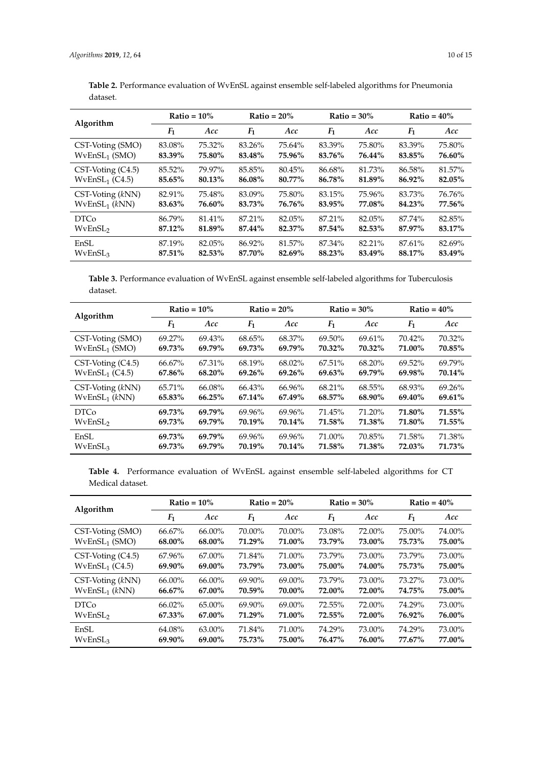|                            | Ratio = $10\%$ |        | $Ratio = 20\%$ |        | Ratio = $30\%$ |        | Ratio = $40\%$ |        |
|----------------------------|----------------|--------|----------------|--------|----------------|--------|----------------|--------|
| Algorithm                  | F <sub>1</sub> | Acc    | F <sub>1</sub> | Acc    | F <sub>1</sub> | Acc    | F <sub>1</sub> | Acc    |
| CST-Voting (SMO)           | 83.08%         | 75.32% | 83.26%         | 75.64% | 83.39%         | 75.80% | 83.39%         | 75.80% |
| $WvEnSL1$ (SMO)            | 83.39%         | 75.80% | 83.48%         | 75.96% | 83.76%         | 76.44% | 83.85%         | 76.60% |
| $CST- Voting (C4.5)$       | 85.52%         | 79.97% | 85.85%         | 80.45% | 86.68%         | 81.73% | 86.58%         | 81.57% |
| WvEnSL <sub>1</sub> (C4.5) | 85.65%         | 80.13% | 86.08%         | 80.77% | 86.78%         | 81.89% | 86.92%         | 82.05% |
| $CST- Voting (kNN)$        | 82.91%         | 75.48% | 83.09%         | 75.80% | 83.15%         | 75.96% | 83.73%         | 76.76% |
| $WvEnSL1$ (kNN)            | 83.63%         | 76.60% | 83.73%         | 76.76% | 83.95%         | 77.08% | 84.23%         | 77.56% |
| <b>DTCo</b>                | 86.79%         | 81.41% | 87.21%         | 82.05% | 87.21%         | 82.05% | 87.74%         | 82.85% |
| WvEnSL <sub>2</sub>        | 87.12%         | 81.89% | 87.44%         | 82.37% | 87.54%         | 82.53% | 87.97%         | 83.17% |
| EnSL                       | 87.19%         | 82.05% | 86.92%         | 81.57% | 87.34%         | 82.21% | 87.61%         | 82.69% |
| WyEnSL3                    | 87.51%         | 82.53% | 87.70%         | 82.69% | 88.23%         | 83.49% | 88.17%         | 83.49% |

<span id="page-9-0"></span>**Table 2.** Performance evaluation of WvEnSL against ensemble self-labeled algorithms for Pneumonia dataset.

**Table 3.** Performance evaluation of WvEnSL against ensemble self-labeled algorithms for Tuberculosis dataset.

| Algorithm                  | Ratio = $10\%$ |        | Ratio = $20\%$ |           | $Ratio = 30\%$ |        | Ratio = $40\%$ |        |
|----------------------------|----------------|--------|----------------|-----------|----------------|--------|----------------|--------|
|                            | F <sub>1</sub> | Acc    | F <sub>1</sub> | Acc       | F <sub>1</sub> | Acc    | F <sub>1</sub> | Acc    |
| CST-Voting (SMO)           | 69.27%         | 69.43% | 68.65%         | 68.37%    | 69.50%         | 69.61% | 70.42%         | 70.32% |
| WvEnSL <sub>1</sub> (SMO)  | 69.73%         | 69.79% | 69.73%         | 69.79%    | 70.32%         | 70.32% | 71.00%         | 70.85% |
| $CST- Voting (C4.5)$       | 66.67%         | 67.31% | 68.19%         | 68.02%    | 67.51%         | 68.20% | 69.52%         | 69.79% |
| WvEnSL <sub>1</sub> (C4.5) | 67.86%         | 68.20% | $69.26\%$      | $69.26\%$ | 69.63%         | 69.79% | 69.98%         | 70.14% |
| $CST- Voting (kNN)$        | 65.71%         | 66.08% | 66.43%         | 66.96%    | 68.21%         | 68.55% | 68.93%         | 69.26% |
| $WvEnSL1$ (kNN)            | 65.83%         | 66.25% | $67.14\%$      | 67.49%    | 68.57%         | 68.90% | 69.40%         | 69.61% |
| DTCo                       | 69.73%         | 69.79% | 69.96%         | 69.96%    | 71.45%         | 71.20% | 71.80%         | 71.55% |
| WyEnSL <sub>2</sub>        | 69.73%         | 69.79% | 70.19%         | 70.14%    | 71.58%         | 71.38% | 71.80%         | 71.55% |
| EnSL                       | 69.73%         | 69.79% | $69.96\%$      | 69.96%    | 71.00%         | 70.85% | 71.58%         | 71.38% |
| WvEnSL <sub>3</sub>        | 69.73%         | 69.79% | 70.19%         | 70.14%    | 71.58%         | 71.38% | 72.03%         | 71.73% |

<span id="page-9-1"></span>**Table 4.** Performance evaluation of WvEnSL against ensemble self-labeled algorithms for CT Medical dataset.

| Algorithm                  | Ratio = $10\%$ |        | $Ratio = 20\%$ |           | Ratio = $30\%$ |        | Ratio = $40\%$ |        |
|----------------------------|----------------|--------|----------------|-----------|----------------|--------|----------------|--------|
|                            | F <sub>1</sub> | Acc    | $F_1$          | Acc       | F <sub>1</sub> | Acc    | $F_1$          | Acc    |
| CST-Voting (SMO)           | 66.67%         | 66.00% | 70.00%         | 70.00%    | 73.08%         | 72.00% | 75.00%         | 74.00% |
| $WvEnSL1$ (SMO)            | 68.00%         | 68.00% | 71.29%         | 71.00%    | 73.79%         | 73.00% | 75.73%         | 75.00% |
| CST-Voting (C4.5)          | 67.96%         | 67.00% | 71.84%         | 71.00%    | 73.79%         | 73.00% | 73.79%         | 73.00% |
| WvEnSL <sub>1</sub> (C4.5) | 69.90%         | 69.00% | 73.79%         | 73.00%    | 75.00%         | 74.00% | 75.73%         | 75.00% |
| $CST- Voting (kNN)$        | 66.00%         | 66.00% | $69.90\%$      | $69.00\%$ | 73.79%         | 73.00% | 73.27%         | 73.00% |
| $WvEnSL1$ (kNN)            | 66.67%         | 67.00% | 70.59%         | 70.00%    | 72.00%         | 72.00% | 74.75%         | 75.00% |
| <b>DTCo</b>                | $66.02\%$      | 65.00% | $69.90\%$      | $69.00\%$ | 72.55%         | 72.00% | 74.29%         | 73.00% |
| WvEnSL <sub>2</sub>        | 67.33%         | 67.00% | 71.29%         | 71.00%    | 72.55%         | 72.00% | 76.92%         | 76.00% |
| EnSL                       | 64.08%         | 63.00% | 71.84%         | 71.00%    | 74.29%         | 73.00% | 74.29%         | 73.00% |
| WyEnSL3                    | 69.90%         | 69.00% | 75.73%         | 75.00%    | 76.47%         | 76.00% | 77.67%         | 77.00% |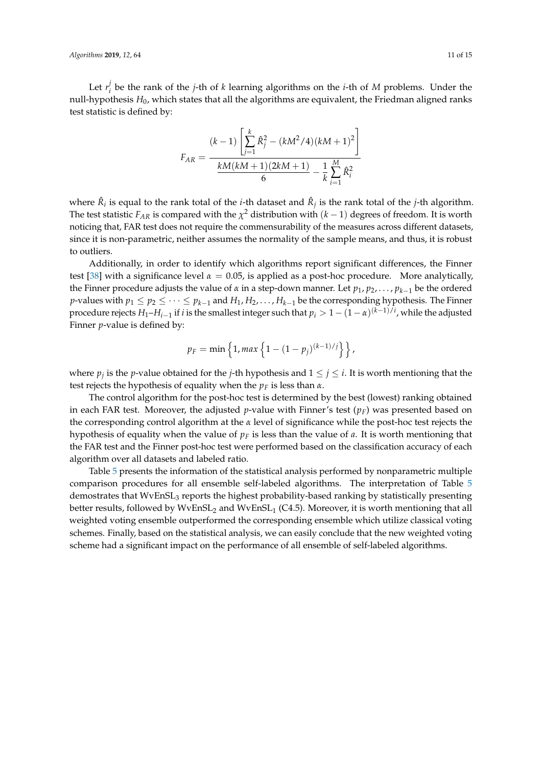Let  $r_i^j$ *i* be the rank of the *j*-th of *k* learning algorithms on the *i*-th of *M* problems. Under the null-hypothesis *H*0, which states that all the algorithms are equivalent, the Friedman aligned ranks test statistic is defined by:

$$
F_{AR} = \frac{(k-1)\left[\sum_{j=1}^{k} \hat{R}_{j}^{2} - (kM^{2}/4)(kM+1)^{2}\right]}{\frac{kM(kM+1)(2kM+1)}{6} - \frac{1}{k}\sum_{i=1}^{M} \hat{R}_{i}^{2}}
$$

where  $\hat{R}_i$  is equal to the rank total of the *i*-th dataset and  $\hat{R}_j$  is the rank total of the *j*-th algorithm. The test statistic  $F_{AR}$  is compared with the  $\chi^2$  distribution with  $(k-1)$  degrees of freedom. It is worth noticing that, FAR test does not require the commensurability of the measures across different datasets, since it is non-parametric, neither assumes the normality of the sample means, and thus, it is robust to outliers.

Additionally, in order to identify which algorithms report significant differences, the Finner test [\[38\]](#page-14-1) with a significance level  $\alpha = 0.05$ , is applied as a post-hoc procedure. More analytically, the Finner procedure adjusts the value of  $\alpha$  in a step-down manner. Let  $p_1, p_2, \ldots, p_{k-1}$  be the ordered *p*-values with  $p_1 \leq p_2 \leq \cdots \leq p_{k-1}$  and  $H_1, H_2, \ldots, H_{k-1}$  be the corresponding hypothesis. The Finner procedure rejects  $H_1$ – $H_{i-1}$  if  $i$  is the smallest integer such that  $p_i>1-(1-\alpha)^{(k-1)/i}$ , while the adjusted Finner *p*-value is defined by:

$$
p_F = \min \left\{ 1, \max \left\{ 1 - (1 - p_j)^{(k-1)/j} \right\} \right\},\
$$

where  $p_j$  is the *p*-value obtained for the *j*-th hypothesis and  $1 \le j \le i$ . It is worth mentioning that the test rejects the hypothesis of equality when the  $p_F$  is less than  $\alpha$ .

The control algorithm for the post-hoc test is determined by the best (lowest) ranking obtained in each FAR test. Moreover, the adjusted *p*-value with Finner's test ( $p_F$ ) was presented based on the corresponding control algorithm at the *α* level of significance while the post-hoc test rejects the hypothesis of equality when the value of  $p<sub>F</sub>$  is less than the value of *a*. It is worth mentioning that the FAR test and the Finner post-hoc test were performed based on the classification accuracy of each algorithm over all datasets and labeled ratio.

Table [5](#page-11-1) presents the information of the statistical analysis performed by nonparametric multiple comparison procedures for all ensemble self-labeled algorithms. The interpretation of Table [5](#page-11-1) demostrates that WvEnSL<sub>3</sub> reports the highest probability-based ranking by statistically presenting better results, followed by  $WvEnSL<sub>2</sub>$  and  $WvEnSL<sub>1</sub>$  (C4.5). Moreover, it is worth mentioning that all weighted voting ensemble outperformed the corresponding ensemble which utilize classical voting schemes. Finally, based on the statistical analysis, we can easily conclude that the new weighted voting scheme had a significant impact on the performance of all ensemble of self-labeled algorithms.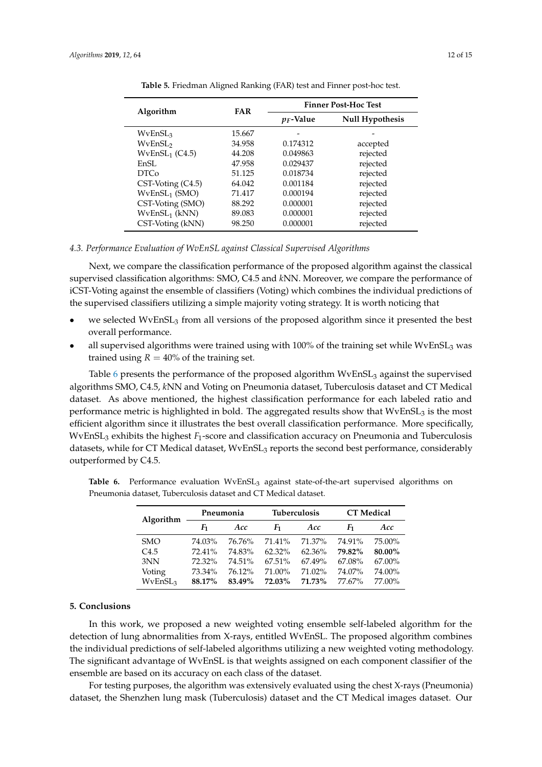<span id="page-11-1"></span>

|        |              | <b>Finner Post-Hoc Test</b> |
|--------|--------------|-----------------------------|
|        | $p_F$ -Value | <b>Null Hypothesis</b>      |
| 15.667 |              |                             |
| 34.958 | 0.174312     | accepted                    |
| 44.208 | 0.049863     | rejected                    |
| 47.958 | 0.029437     | rejected                    |
| 51.125 | 0.018734     | rejected                    |
| 64.042 | 0.001184     | rejected                    |
| 71.417 | 0.000194     | rejected                    |
| 88.292 | 0.000001     | rejected                    |
| 89.083 | 0.000001     | rejected                    |
| 98.250 | 0.000001     | rejected                    |
|        | <b>FAR</b>   |                             |

**Table 5.** Friedman Aligned Ranking (FAR) test and Finner post-hoc test.

#### *4.3. Performance Evaluation of WvEnSL against Classical Supervised Algorithms*

Next, we compare the classification performance of the proposed algorithm against the classical supervised classification algorithms: SMO, C4.5 and *k*NN. Moreover, we compare the performance of iCST-Voting against the ensemble of classifiers (Voting) which combines the individual predictions of the supervised classifiers utilizing a simple majority voting strategy. It is worth noticing that

- we selected WvEnSL<sub>3</sub> from all versions of the proposed algorithm since it presented the best overall performance.
- all supervised algorithms were trained using with  $100\%$  of the training set while WvEnSL<sub>3</sub> was trained using  $R = 40\%$  of the training set.

Table  $6$  presents the performance of the proposed algorithm  $WvEnSL<sub>3</sub>$  against the supervised algorithms SMO, C4.5, *k*NN and Voting on Pneumonia dataset, Tuberculosis dataset and CT Medical dataset. As above mentioned, the highest classification performance for each labeled ratio and performance metric is highlighted in bold. The aggregated results show that  $WvEnSL<sub>3</sub>$  is the most efficient algorithm since it illustrates the best overall classification performance. More specifically, WvEnSL<sub>3</sub> exhibits the highest *F*<sub>1</sub>-score and classification accuracy on Pneumonia and Tuberculosis datasets, while for CT Medical dataset, WvEnSL<sub>3</sub> reports the second best performance, considerably outperformed by C4.5.

<span id="page-11-2"></span>

|                                                                 |  | <b>Table 6.</b> Performance evaluation WvEnSL <sub>3</sub> against state-of-the-art supervised algorithms on |  |  |
|-----------------------------------------------------------------|--|--------------------------------------------------------------------------------------------------------------|--|--|
| Pneumonia dataset, Tuberculosis dataset and CT Medical dataset. |  |                                                                                                              |  |  |

| Algorithm           |        | Pneumonia |         | <b>Tuberculosis</b> | <b>CT</b> Medical |        |  |
|---------------------|--------|-----------|---------|---------------------|-------------------|--------|--|
|                     | Fı     | Acc       | $F_{1}$ | Acc                 | Fı                | Acc    |  |
| <b>SMO</b>          | 74.03% | 76.76%    | 71.41%  | 71.37%              | 74.91%            | 75.00% |  |
| C4.5                | 72.41% | 74.83%    | 62.32%  | 62.36%              | 79.82%            | 80.00% |  |
| 3NN                 | 72.32% | 74.51%    | 67.51%  | 67.49%              | 67.08%            | 67.00% |  |
| Voting              | 73.34% | 76.12%    | 71.00%  | 71.02%              | 74.07%            | 74.00% |  |
| WvEnSL <sub>3</sub> | 88.17% | 83.49%    | 72.03%  | 71.73%              | 77.67%            | 77.00% |  |

## <span id="page-11-0"></span>**5. Conclusions**

In this work, we proposed a new weighted voting ensemble self-labeled algorithm for the detection of lung abnormalities from X-rays, entitled WvEnSL. The proposed algorithm combines the individual predictions of self-labeled algorithms utilizing a new weighted voting methodology. The significant advantage of WvEnSL is that weights assigned on each component classifier of the ensemble are based on its accuracy on each class of the dataset.

For testing purposes, the algorithm was extensively evaluated using the chest X-rays (Pneumonia) dataset, the Shenzhen lung mask (Tuberculosis) dataset and the CT Medical images dataset. Our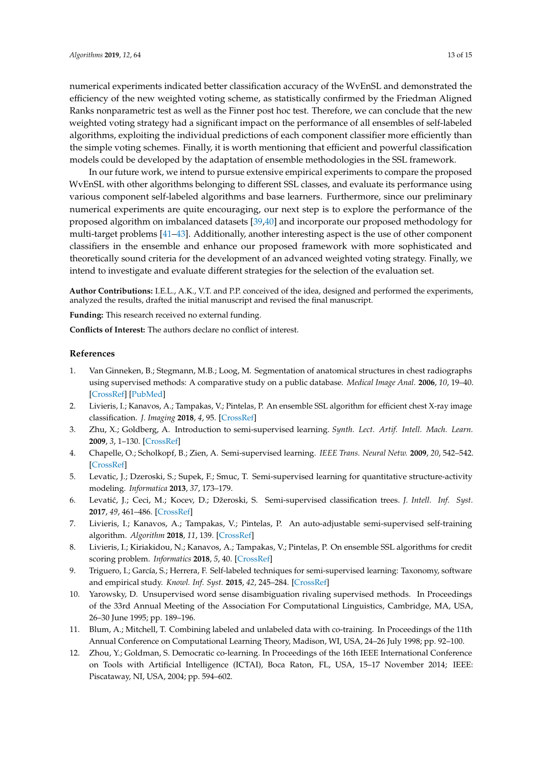numerical experiments indicated better classification accuracy of the WvEnSL and demonstrated the efficiency of the new weighted voting scheme, as statistically confirmed by the Friedman Aligned Ranks nonparametric test as well as the Finner post hoc test. Therefore, we can conclude that the new weighted voting strategy had a significant impact on the performance of all ensembles of self-labeled algorithms, exploiting the individual predictions of each component classifier more efficiently than the simple voting schemes. Finally, it is worth mentioning that efficient and powerful classification models could be developed by the adaptation of ensemble methodologies in the SSL framework.

In our future work, we intend to pursue extensive empirical experiments to compare the proposed WvEnSL with other algorithms belonging to different SSL classes, and evaluate its performance using various component self-labeled algorithms and base learners. Furthermore, since our preliminary numerical experiments are quite encouraging, our next step is to explore the performance of the proposed algorithm on imbalanced datasets [\[39](#page-14-2)[,40\]](#page-14-3) and incorporate our proposed methodology for multi-target problems [\[41–](#page-14-4)[43\]](#page-14-5). Additionally, another interesting aspect is the use of other component classifiers in the ensemble and enhance our proposed framework with more sophisticated and theoretically sound criteria for the development of an advanced weighted voting strategy. Finally, we intend to investigate and evaluate different strategies for the selection of the evaluation set.

**Author Contributions:** I.E.L., A.K., V.T. and P.P. conceived of the idea, designed and performed the experiments, analyzed the results, drafted the initial manuscript and revised the final manuscript.

**Funding:** This research received no external funding.

**Conflicts of Interest:** The authors declare no conflict of interest.

### **References**

- <span id="page-12-0"></span>1. Van Ginneken, B.; Stegmann, M.B.; Loog, M. Segmentation of anatomical structures in chest radiographs using supervised methods: A comparative study on a public database. *Medical Image Anal.* **2006**, *10*, 19–40. [\[CrossRef\]](http://dx.doi.org/10.1016/j.media.2005.02.002) [\[PubMed\]](http://www.ncbi.nlm.nih.gov/pubmed/15919232)
- <span id="page-12-1"></span>2. Livieris, I.; Kanavos, A.; Tampakas, V.; Pintelas, P. An ensemble SSL algorithm for efficient chest X-ray image classification. *J. Imaging* **2018**, *4*, 95. [\[CrossRef\]](http://dx.doi.org/10.3390/jimaging4070095)
- <span id="page-12-2"></span>3. Zhu, X.; Goldberg, A. Introduction to semi-supervised learning. *Synth. Lect. Artif. Intell. Mach. Learn.* **2009**, *3*, 1–130. [\[CrossRef\]](http://dx.doi.org/10.2200/S00196ED1V01Y200906AIM006)
- <span id="page-12-3"></span>4. Chapelle, O.; Scholkopf, B.; Zien, A. Semi-supervised learning. *IEEE Trans. Neural Netw.* **2009**, *20*, 542–542. [\[CrossRef\]](http://dx.doi.org/10.1109/TNN.2009.2015974)
- <span id="page-12-4"></span>5. Levatic, J.; Dzeroski, S.; Supek, F.; Smuc, T. Semi-supervised learning for quantitative structure-activity modeling. *Informatica* **2013**, *37*, 173–179.
- 6. Levati´c, J.; Ceci, M.; Kocev, D.; Džeroski, S. Semi-supervised classification trees. *J. Intell. Inf. Syst.* **2017**, *49*, 461–486. [\[CrossRef\]](http://dx.doi.org/10.1007/s10844-017-0457-4)
- <span id="page-12-10"></span>7. Livieris, I.; Kanavos, A.; Tampakas, V.; Pintelas, P. An auto-adjustable semi-supervised self-training algorithm. *Algorithm* **2018**, *11*, 139. [\[CrossRef\]](http://dx.doi.org/10.3390/a11090139)
- <span id="page-12-5"></span>8. Livieris, I.; Kiriakidou, N.; Kanavos, A.; Tampakas, V.; Pintelas, P. On ensemble SSL algorithms for credit scoring problem. *Informatics* **2018**, *5*, 40. [\[CrossRef\]](http://dx.doi.org/10.3390/informatics5040040)
- <span id="page-12-6"></span>9. Triguero, I.; García, S.; Herrera, F. Self-labeled techniques for semi-supervised learning: Taxonomy, software and empirical study. *Knowl. Inf. Syst.* **2015**, *42*, 245–284. [\[CrossRef\]](http://dx.doi.org/10.1007/s10115-013-0706-y)
- <span id="page-12-7"></span>10. Yarowsky, D. Unsupervised word sense disambiguation rivaling supervised methods. In Proceedings of the 33rd Annual Meeting of the Association For Computational Linguistics, Cambridge, MA, USA, 26–30 June 1995; pp. 189–196.
- <span id="page-12-8"></span>11. Blum, A.; Mitchell, T. Combining labeled and unlabeled data with co-training. In Proceedings of the 11th Annual Conference on Computational Learning Theory, Madison, WI, USA, 24–26 July 1998; pp. 92–100.
- <span id="page-12-9"></span>12. Zhou, Y.; Goldman, S. Democratic co-learning. In Proceedings of the 16th IEEE International Conference on Tools with Artificial Intelligence (ICTAI), Boca Raton, FL, USA, 15–17 November 2014; IEEE: Piscataway, NI, USA, 2004; pp. 594–602.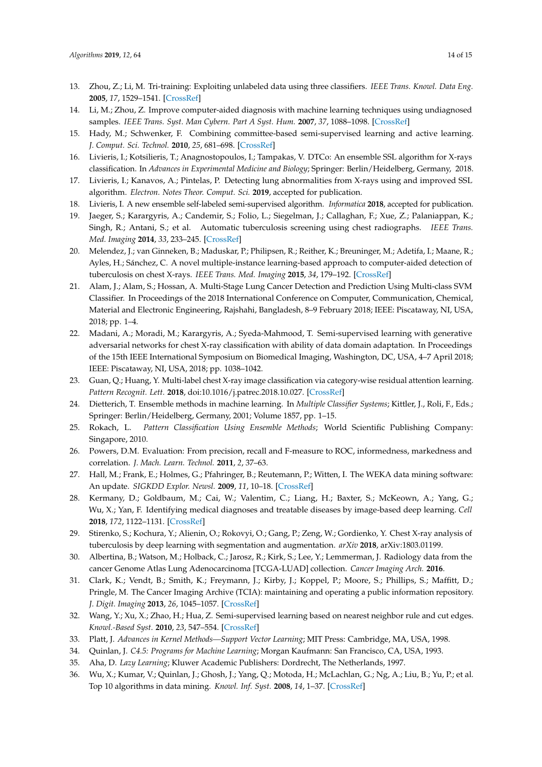- <span id="page-13-0"></span>13. Zhou, Z.; Li, M. Tri-training: Exploiting unlabeled data using three classifiers. *IEEE Trans. Knowl. Data Eng.* **2005**, *17*, 1529–1541. [\[CrossRef\]](http://dx.doi.org/10.1109/TKDE.2005.186)
- <span id="page-13-1"></span>14. Li, M.; Zhou, Z. Improve computer-aided diagnosis with machine learning techniques using undiagnosed samples. *IEEE Trans. Syst. Man Cybern. Part A Syst. Hum.* **2007**, *37*, 1088–1098. [\[CrossRef\]](http://dx.doi.org/10.1109/TSMCA.2007.904745)
- <span id="page-13-2"></span>15. Hady, M.; Schwenker, F. Combining committee-based semi-supervised learning and active learning. *J. Comput. Sci. Technol.* **2010**, *25*, 681–698. [\[CrossRef\]](http://dx.doi.org/10.1007/s11390-010-9357-6)
- <span id="page-13-3"></span>16. Livieris, I.; Kotsilieris, T.; Anagnostopoulos, I.; Tampakas, V. DTCo: An ensemble SSL algorithm for X-rays classification. In *Advances in Experimental Medicine and Biology*; Springer: Berlin/Heidelberg, Germany, 2018.
- <span id="page-13-4"></span>17. Livieris, I.; Kanavos, A.; Pintelas, P. Detecting lung abnormalities from X-rays using and improved SSL algorithm. *Electron. Notes Theor. Comput. Sci.* **2019**, accepted for publication.
- <span id="page-13-5"></span>18. Livieris, I. A new ensemble self-labeled semi-supervised algorithm. *Informatica* **2018**, accepted for publication.
- <span id="page-13-6"></span>19. Jaeger, S.; Karargyris, A.; Candemir, S.; Folio, L.; Siegelman, J.; Callaghan, F.; Xue, Z.; Palaniappan, K.; Singh, R.; Antani, S.; et al. Automatic tuberculosis screening using chest radiographs. *IEEE Trans. Med. Imaging* **2014**, *33*, 233–245. [\[CrossRef\]](http://dx.doi.org/10.1109/TMI.2013.2284099)
- <span id="page-13-7"></span>20. Melendez, J.; van Ginneken, B.; Maduskar, P.; Philipsen, R.; Reither, K.; Breuninger, M.; Adetifa, I.; Maane, R.; Ayles, H.; Sánchez, C. A novel multiple-instance learning-based approach to computer-aided detection of tuberculosis on chest X-rays. *IEEE Trans. Med. Imaging* **2015**, *34*, 179–192. [\[CrossRef\]](http://dx.doi.org/10.1109/TMI.2014.2350539)
- <span id="page-13-8"></span>21. Alam, J.; Alam, S.; Hossan, A. Multi-Stage Lung Cancer Detection and Prediction Using Multi-class SVM Classifier. In Proceedings of the 2018 International Conference on Computer, Communication, Chemical, Material and Electronic Engineering, Rajshahi, Bangladesh, 8–9 February 2018; IEEE: Piscataway, NI, USA, 2018; pp. 1–4.
- <span id="page-13-9"></span>22. Madani, A.; Moradi, M.; Karargyris, A.; Syeda-Mahmood, T. Semi-supervised learning with generative adversarial networks for chest X-ray classification with ability of data domain adaptation. In Proceedings of the 15th IEEE International Symposium on Biomedical Imaging, Washington, DC, USA, 4–7 April 2018; IEEE: Piscataway, NI, USA, 2018; pp. 1038–1042.
- <span id="page-13-10"></span>23. Guan, Q.; Huang, Y. Multi-label chest X-ray image classification via category-wise residual attention learning. *Pattern Recognit. Lett.* **2018**, doi:10.1016/j.patrec.2018.10.027. [\[CrossRef\]](http://dx.doi.org/10.1016/j.patrec.2018.10.027)
- <span id="page-13-11"></span>24. Dietterich, T. Ensemble methods in machine learning. In *Multiple Classifier Systems*; Kittler, J., Roli, F., Eds.; Springer: Berlin/Heidelberg, Germany, 2001; Volume 1857, pp. 1–15.
- <span id="page-13-12"></span>25. Rokach, L. *Pattern Classification Using Ensemble Methods*; World Scientific Publishing Company: Singapore, 2010.
- <span id="page-13-13"></span>26. Powers, D.M. Evaluation: From precision, recall and F-measure to ROC, informedness, markedness and correlation. *J. Mach. Learn. Technol.* **2011**, *2*, 37–63.
- <span id="page-13-14"></span>27. Hall, M.; Frank, E.; Holmes, G.; Pfahringer, B.; Reutemann, P.; Witten, I. The WEKA data mining software: An update. *SIGKDD Explor. Newsl.* **2009**, *11*, 10–18. [\[CrossRef\]](http://dx.doi.org/10.1145/1656274.1656278)
- <span id="page-13-15"></span>28. Kermany, D.; Goldbaum, M.; Cai, W.; Valentim, C.; Liang, H.; Baxter, S.; McKeown, A.; Yang, G.; Wu, X.; Yan, F. Identifying medical diagnoses and treatable diseases by image-based deep learning. *Cell* **2018**, *172*, 1122–1131. [\[CrossRef\]](http://dx.doi.org/10.1016/j.cell.2018.02.010)
- <span id="page-13-16"></span>29. Stirenko, S.; Kochura, Y.; Alienin, O.; Rokovyi, O.; Gang, P.; Zeng, W.; Gordienko, Y. Chest X-ray analysis of tuberculosis by deep learning with segmentation and augmentation. *arXiv* **2018**, arXiv:1803.01199.
- <span id="page-13-17"></span>30. Albertina, B.; Watson, M.; Holback, C.; Jarosz, R.; Kirk, S.; Lee, Y.; Lemmerman, J. Radiology data from the cancer Genome Atlas Lung Adenocarcinoma [TCGA-LUAD] collection. *Cancer Imaging Arch.* **2016**.
- <span id="page-13-18"></span>31. Clark, K.; Vendt, B.; Smith, K.; Freymann, J.; Kirby, J.; Koppel, P.; Moore, S.; Phillips, S.; Maffitt, D.; Pringle, M. The Cancer Imaging Archive (TCIA): maintaining and operating a public information repository. *J. Digit. Imaging* **2013**, *26*, 1045–1057. [\[CrossRef\]](http://dx.doi.org/10.1007/s10278-013-9622-7)
- <span id="page-13-19"></span>32. Wang, Y.; Xu, X.; Zhao, H.; Hua, Z. Semi-supervised learning based on nearest neighbor rule and cut edges. *Knowl.-Based Syst.* **2010**, *23*, 547–554. [\[CrossRef\]](http://dx.doi.org/10.1016/j.knosys.2010.03.012)
- <span id="page-13-20"></span>33. Platt, J. *Advances in Kernel Methods—Support Vector Learning*; MIT Press: Cambridge, MA, USA, 1998.
- <span id="page-13-21"></span>34. Quinlan, J. *C4.5: Programs for Machine Learning*; Morgan Kaufmann: San Francisco, CA, USA, 1993.
- <span id="page-13-22"></span>35. Aha, D. *Lazy Learning*; Kluwer Academic Publishers: Dordrecht, The Netherlands, 1997.
- <span id="page-13-23"></span>36. Wu, X.; Kumar, V.; Quinlan, J.; Ghosh, J.; Yang, Q.; Motoda, H.; McLachlan, G.; Ng, A.; Liu, B.; Yu, P.; et al. Top 10 algorithms in data mining. *Knowl. Inf. Syst.* **2008**, *14*, 1–37. [\[CrossRef\]](http://dx.doi.org/10.1007/s10115-007-0114-2)